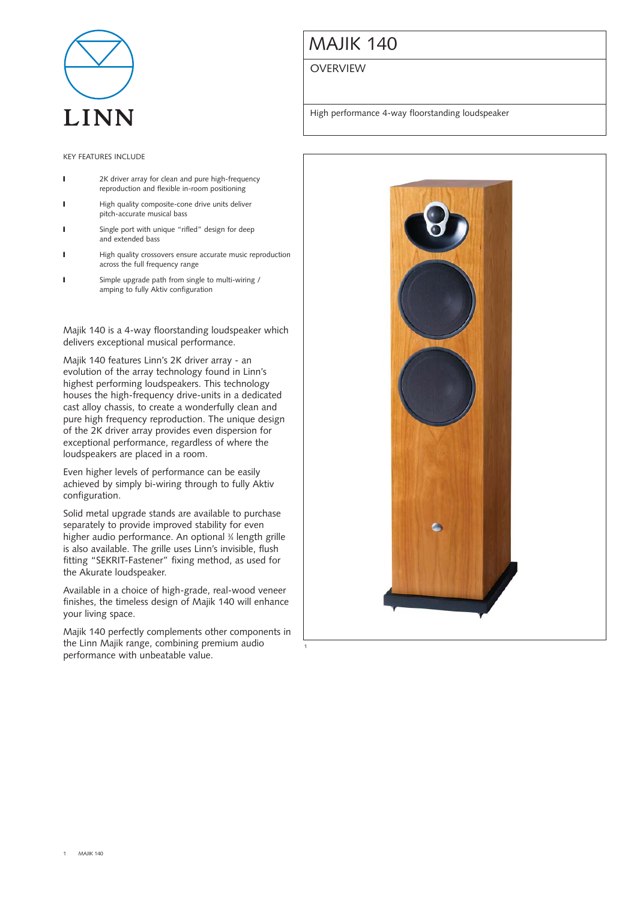

#### KEY FEATURES INCLUDE

- **I** 2K driver array for clean and pure high-frequency reproduction and flexible in-room positioning
- I High quality composite-cone drive units deliver pitch-accurate musical bass
- **I** Single port with unique "rifled" design for deep and extended bass
- **I** High quality crossovers ensure accurate music reproduction across the full frequency range
- **I** Simple upgrade path from single to multi-wiring / amping to fully Aktiv configuration

Majik 140 is a 4-way floorstanding loudspeaker which delivers exceptional musical performance.

Majik 140 features Linn's 2K driver array - an evolution of the array technology found in Linn's highest performing loudspeakers. This technology houses the high-frequency drive-units in a dedicated cast alloy chassis, to create a wonderfully clean and pure high frequency reproduction. The unique design of the 2K driver array provides even dispersion for exceptional performance, regardless of where the loudspeakers are placed in a room.

Even higher levels of performance can be easily achieved by simply bi-wiring through to fully Aktiv configuration.

Solid metal upgrade stands are available to purchase separately to provide improved stability for even higher audio performance. An optional 3 ⁄4 length grille is also available. The grille uses Linn's invisible, flush fitting "SEKRIT-Fastener" fixing method, as used for the Akurate loudspeaker.

Available in a choice of high-grade, real-wood veneer finishes, the timeless design of Majik 140 will enhance your living space.

Majik 140 perfectly complements other components in the Linn Majik range, combining premium audio performance with unbeatable value.

1

# MAJIK 140

#### **OVERVIEW**

High performance 4-way floorstanding loudspeaker